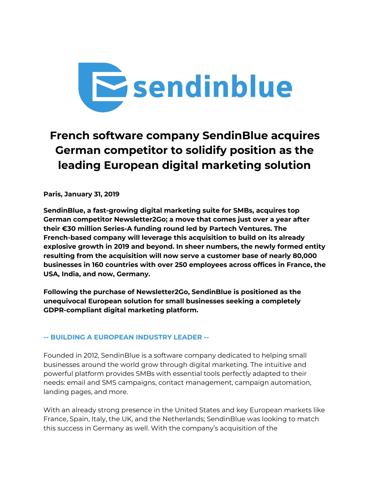

# **French software company SendinBlue acquires German competitor to solidify position as the leading European digital marketing solution**

**Paris, January 31, 2019**

**SendinBlue, a fast-growing digital marketing suite for SMBs, acquires top German competitor Newsletter2Go; a move that comes just over a year after their €30 million Series-A funding round led by Partech Ventures. The French-based company will leverage this acquisition to build on its already explosive growth in 2019 and beyond. In sheer numbers, the newly formed entity resulting from the acquisition will now serve a customer base of nearly 80,000 businesses in 160 countries with over 250 employees across offices in France, the USA, India, and now, Germany.**

**Following the purchase of Newsletter2Go, SendinBlue is positioned as the unequivocal European solution for small businesses seeking a completely GDPR-compliant digital marketing platform.**

#### **-- BUILDING A EUROPEAN INDUSTRY LEADER --**

Founded in 2012, SendinBlue is a software company dedicated to helping small businesses around the world grow through digital marketing. The intuitive and powerful platform provides SMBs with essential tools perfectly adapted to their needs: email and SMS campaigns, contact management, campaign automation, landing pages, and more.

With an already strong presence in the United States and key European markets like France, Spain, Italy, the UK, and the Netherlands; SendinBlue was looking to match this success in Germany as well. With the company's acquisition of the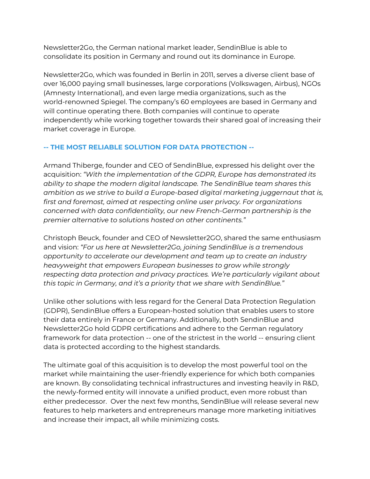Newsletter2Go, the German national market leader, SendinBlue is able to consolidate its position in Germany and round out its dominance in Europe.

Newsletter2Go, which was founded in Berlin in 2011, serves a diverse client base of over 16,000 paying small businesses, large corporations (Volkswagen, Airbus), NGOs (Amnesty International), and even large media organizations, such as the world-renowned Spiegel. The company's 60 employees are based in Germany and will continue operating there. Both companies will continue to operate independently while working together towards their shared goal of increasing their market coverage in Europe.

#### **-- THE MOST RELIABLE SOLUTION FOR DATA PROTECTION --**

Armand Thiberge, founder and CEO of SendinBlue, expressed his delight over the acquisition: *"With the implementation of the GDPR, Europe has demonstrated its ability to shape the modern digital landscape. The SendinBlue team shares this ambition as we strive to build a Europe-based digital marketing juggernaut that is, first and foremost, aimed at respecting online user privacy. For organizations concerned with data confidentiality, our new French-German partnership is the premier alternative to solutions hosted on other continents."*

Christoph Beuck, founder and CEO of Newsletter2GO, shared the same enthusiasm and vision: *"For us here at Newsletter2Go, joining SendinBlue is a tremendous opportunity to accelerate our development and team up to create an industry heavyweight that empowers European businesses to grow while strongly respecting data protection and privacy practices. We're particularly vigilant about this topic in Germany, and it's a priority that we share with SendinBlue."*

Unlike other solutions with less regard for the General Data Protection Regulation (GDPR), SendinBlue offers a European-hosted solution that enables users to store their data entirely in France or Germany. Additionally, both SendinBlue and Newsletter2Go hold GDPR certifications and adhere to the German regulatory framework for data protection -- one of the strictest in the world -- ensuring client data is protected according to the highest standards.

The ultimate goal of this acquisition is to develop the most powerful tool on the market while maintaining the user-friendly experience for which both companies are known. By consolidating technical infrastructures and investing heavily in R&D, the newly-formed entity will innovate a unified product, even more robust than either predecessor. Over the next few months, SendinBlue will release several new features to help marketers and entrepreneurs manage more marketing initiatives and increase their impact, all while minimizing costs.